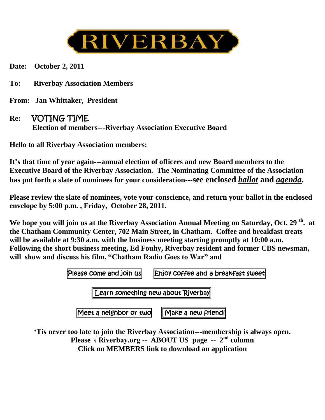

**Date: October 2, 2011**

**To: Riverbay Association Members**

**From: Jan Whittaker, President**

# **Re:** VOTING TIME

**Election of members---Riverbay Association Executive Board**

**Hello to all Riverbay Association members:**

**It's that time of year again---annual election of officers and new Board members to the Executive Board of the Riverbay Association. The Nominating Committee of the Association has put forth a slate of nominees for your consideration---see enclosed** *ballot* **and** *agenda***.**

**Please review the slate of nominees, vote your conscience, and return your ballot in the enclosed envelope by 5:00 p.m. , Friday, October 28, 2011.**

**We hope you will join us at the Riverbay Association Annual Meeting on Saturday, Oct. 29 th . at the Chatham Community Center, 702 Main Street, in Chatham. Coffee and breakfast treats**  will be available at 9:30 a.m. with the business meeting starting promptly at 10:00 a.m. **Following the short business meeting, Ed Fouhy, Riverbay resident and former CBS newsman, will show and discuss his film, "Chatham Radio Goes to War" and** 

| Please come and join us | Enjoy coffee and a breakfast sweed        |
|-------------------------|-------------------------------------------|
|                         | Learn something new about Riverbay        |
| Meet a neighbor or two  | $\parallel$ Make a new friend $\parallel$ |

**'Tis never too late to join the Riverbay Association---membership is always open. Please √ Riverbay.org -- ABOUT US page -- 2 nd column Click on MEMBERS link to download an application**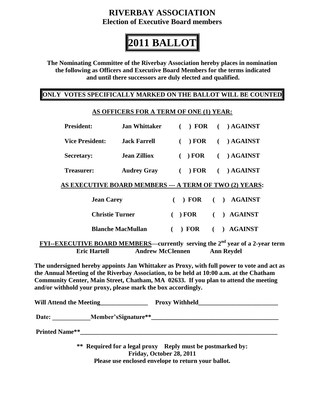## **RIVERBAY ASSOCIATION Election of Executive Board members**

# **2011 BALLOT**

**The Nominating Committee of the Riverbay Association hereby places in nomination the following as Officers and Executive Board Members for the terms indicated and until there successors are duly elected and qualified.**

## **ONLY VOTES SPECIFICALLY MARKED ON THE BALLOT WILL BE COUNTED**

### **AS OFFICERS FOR A TERM OF ONE (1) YEAR:**

| <b>President:</b>                                       | <b>Jan Whittaker</b> | $( )$ FOR         |              | ( ) AGA INST   |
|---------------------------------------------------------|----------------------|-------------------|--------------|----------------|
| <b>Vice President:</b>                                  | <b>Jack Farrell</b>  | $\rightarrow$ FOR | <sup>-</sup> | <b>AGAINST</b> |
| <b>Secretary:</b>                                       | Jean Zilliox         | $( )$ FOR         | €.           | ) AGAINST      |
| Treasurer:                                              | <b>Audrey Gray</b>   | $\rightarrow$ FOR |              | ) AGAINST      |
| AS EXECUTIVE BOARD MEMBERS --- A TERM OF TWO (2) YEARS: |                      |                   |              |                |
| <b>Jean Carey</b>                                       |                      | $\rightarrow$ FOR |              | <b>AGAINST</b> |

| <b>Christie Turner</b>   | $($ ) FOR | $($ $)$ $AGAINST$       |
|--------------------------|-----------|-------------------------|
| <b>Blanche MacMullan</b> |           | $( )$ FOR $( )$ AGAINST |

**FYI--EXECUTIVE BOARD MEMBERS—currently serving the 2nd year of a 2-year term Eric Hartell Andrew McClennen Ann Reydel**

**The undersigned hereby appoints Jan Whittaker as Proxy, with full power to vote and act as the Annual Meeting of the Riverbay Association, to be held at 10:00 a.m. at the Chatham Community Center, Main Street, Chatham, MA 02633. If you plan to attend the meeting and/or withhold your proxy, please mark the box accordingly.**

| Will Attend the Meeting |                                                            |
|-------------------------|------------------------------------------------------------|
| Date:                   |                                                            |
| <b>Printed Name**</b>   |                                                            |
|                         | ** Required for a legal proxy Reply must be postmarked by: |
|                         | Friday, October 28, 2011                                   |
|                         | Please use enclosed envelope to return your ballot.        |